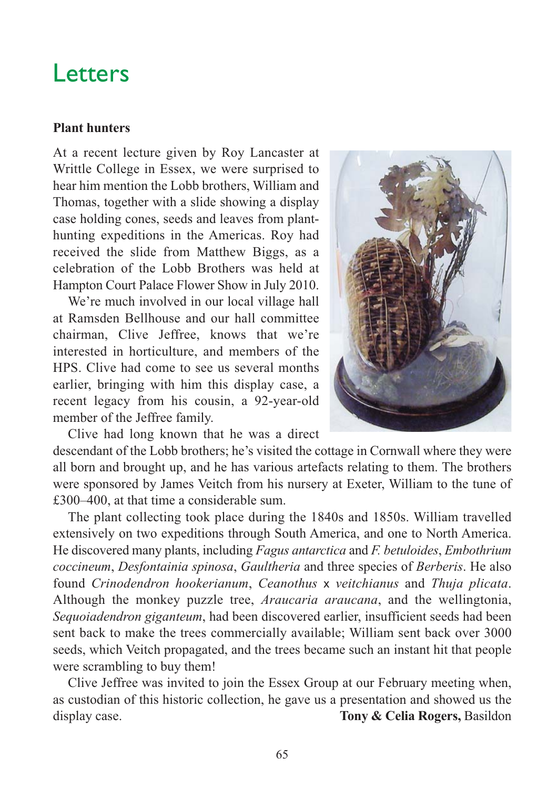# Letters

#### **Plant hunters**

At a recent lecture given by Roy Lancaster at Writtle College in Essex, we were surprised to hear him mention the Lobb brothers, William and Thomas, together with a slide showing a display case holding cones, seeds and leaves from planthunting expeditions in the Americas. Roy had received the slide from Matthew Biggs, as a celebration of the Lobb Brothers was held at Hampton Court Palace Flower Show in July 2010.

We're much involved in our local village hall at Ramsden Bellhouse and our hall committee chairman, Clive Jeffree, knows that we're interested in horticulture, and members of the HPS. Clive had come to see us several months earlier, bringing with him this display case, a recent legacy from his cousin, a 92-year-old member of the Jeffree family.



Clive had long known that he was a direct

descendant of the Lobb brothers; he's visited the cottage in Cornwall where they were all born and brought up, and he has various artefacts relating to them. The brothers were sponsored by James Veitch from his nursery at Exeter, William to the tune of £300–400, at that time a considerable sum.

The plant collecting took place during the 1840s and 1850s. William travelled extensively on two expeditions through South America, and one to North America. He discovered many plants, including *Fagus antarctica* and *F. betuloides*, *Embothrium coccineum*, *Desfontainia spinosa*, *Gaultheria* and three species of *Berberis*. He also found *Crinodendron hookerianum*, *Ceanothus* x *veitchianus* and *Thuja plicata*. Although the monkey puzzle tree, *Araucaria araucana*, and the wellingtonia, *Sequoiadendron giganteum*, had been discovered earlier, insufficient seeds had been sent back to make the trees commercially available; William sent back over 3000 seeds, which Veitch propagated, and the trees became such an instant hit that people were scrambling to buy them!

Clive Jeffree was invited to join the Essex Group at our February meeting when, as custodian of this historic collection, he gave us a presentation and showed us the display case. **Tony & Celia Rogers,** Basildon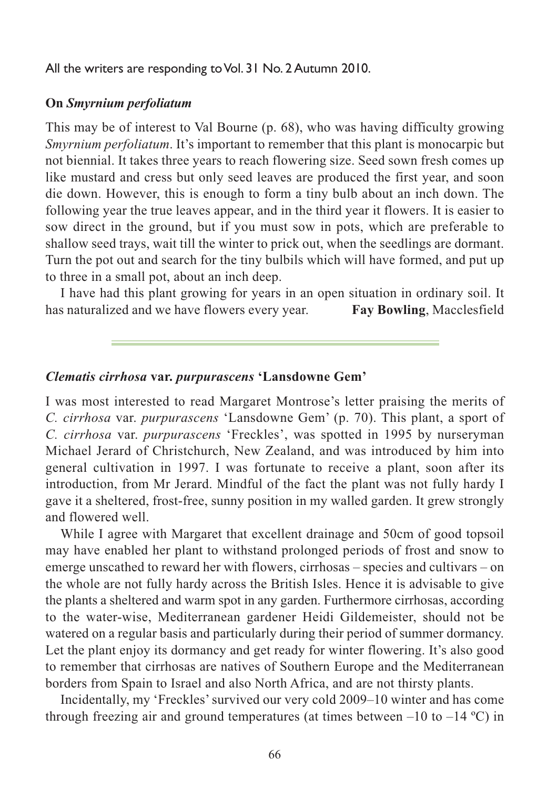All the writers are responding to Vol. 31 No. 2 Autumn 2010.

### **On** *Smyrnium perfoliatum*

This may be of interest to Val Bourne (p. 68), who was having difficulty growing *Smyrnium perfoliatum*. It's important to remember that this plant is monocarpic but not biennial. It takes three years to reach flowering size. Seed sown fresh comes up like mustard and cress but only seed leaves are produced the first year, and soon die down. However, this is enough to form a tiny bulb about an inch down. The following year the true leaves appear, and in the third year it flowers. It is easier to sow direct in the ground, but if you must sow in pots, which are preferable to shallow seed trays, wait till the winter to prick out, when the seedlings are dormant. Turn the pot out and search for the tiny bulbils which will have formed, and put up to three in a small pot, about an inch deep.

I have had this plant growing for years in an open situation in ordinary soil. It has naturalized and we have flowers every year. **Fay Bowling**, Macclesfield

#### *Clematis cirrhosa* **var.** *purpurascens* **'Lansdowne Gem'**

I was most interested to read Margaret Montrose's letter praising the merits of *C. cirrhosa* var. *purpurascens* 'Lansdowne Gem' (p. 70). This plant, a sport of *C. cirrhosa* var. *purpurascens* 'Freckles', was spotted in 1995 by nurseryman Michael Jerard of Christchurch, New Zealand, and was introduced by him into general cultivation in 1997. I was fortunate to receive a plant, soon after its introduction, from Mr Jerard. Mindful of the fact the plant was not fully hardy I gave it a sheltered, frost-free, sunny position in my walled garden. It grew strongly and flowered well.

While I agree with Margaret that excellent drainage and 50cm of good topsoil may have enabled her plant to withstand prolonged periods of frost and snow to emerge unscathed to reward her with flowers, cirrhosas – species and cultivars – on the whole are not fully hardy across the British Isles. Hence it is advisable to give the plants a sheltered and warm spot in any garden. Furthermore cirrhosas, according to the water-wise, Mediterranean gardener Heidi Gildemeister, should not be watered on a regular basis and particularly during their period of summer dormancy. Let the plant enjoy its dormancy and get ready for winter flowering. It's also good to remember that cirrhosas are natives of Southern Europe and the Mediterranean borders from Spain to Israel and also North Africa, and are not thirsty plants.

Incidentally, my 'Freckles' survived our very cold 2009–10 winter and has come through freezing air and ground temperatures (at times between  $-10$  to  $-14$  °C) in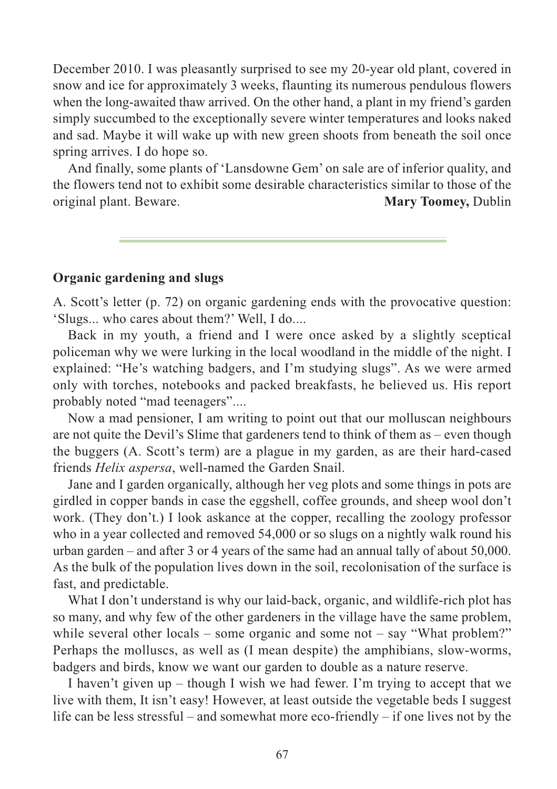December 2010. I was pleasantly surprised to see my 20-year old plant, covered in snow and ice for approximately 3 weeks, flaunting its numerous pendulous flowers when the long-awaited thaw arrived. On the other hand, a plant in my friend's garden simply succumbed to the exceptionally severe winter temperatures and looks naked and sad. Maybe it will wake up with new green shoots from beneath the soil once spring arrives. I do hope so.

And finally, some plants of 'Lansdowne Gem' on sale are of inferior quality, and the flowers tend not to exhibit some desirable characteristics similar to those of the original plant. Beware. **Mary Toomey,** Dublin

### **Organic gardening and slugs**

A. Scott's letter (p. 72) on organic gardening ends with the provocative question: 'Slugs... who cares about them?' Well, I do....

Back in my youth, a friend and I were once asked by a slightly sceptical policeman why we were lurking in the local woodland in the middle of the night. I explained: "He's watching badgers, and I'm studying slugs". As we were armed only with torches, notebooks and packed breakfasts, he believed us. His report probably noted "mad teenagers"....

Now a mad pensioner, I am writing to point out that our molluscan neighbours are not quite the Devil's Slime that gardeners tend to think of them as – even though the buggers (A. Scott's term) are a plague in my garden, as are their hard-cased friends *Helix aspersa*, well-named the Garden Snail.

Jane and I garden organically, although her veg plots and some things in pots are girdled in copper bands in case the eggshell, coffee grounds, and sheep wool don't work. (They don't.) I look askance at the copper, recalling the zoology professor who in a year collected and removed 54,000 or so slugs on a nightly walk round his urban garden – and after 3 or 4 years of the same had an annual tally of about 50,000. As the bulk of the population lives down in the soil, recolonisation of the surface is fast, and predictable.

What I don't understand is why our laid-back, organic, and wildlife-rich plot has so many, and why few of the other gardeners in the village have the same problem, while several other locals – some organic and some not – say "What problem?" Perhaps the molluscs, as well as (I mean despite) the amphibians, slow-worms, badgers and birds, know we want our garden to double as a nature reserve.

I haven't given up – though I wish we had fewer. I'm trying to accept that we live with them, It isn't easy! However, at least outside the vegetable beds I suggest life can be less stressful – and somewhat more eco-friendly – if one lives not by the